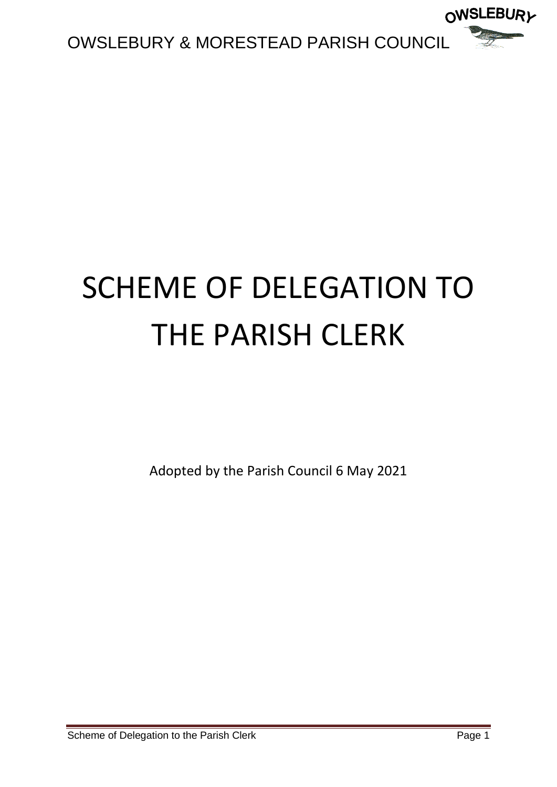

## SCHEME OF DELEGATION TO THE PARISH CLERK

Adopted by the Parish Council 6 May 2021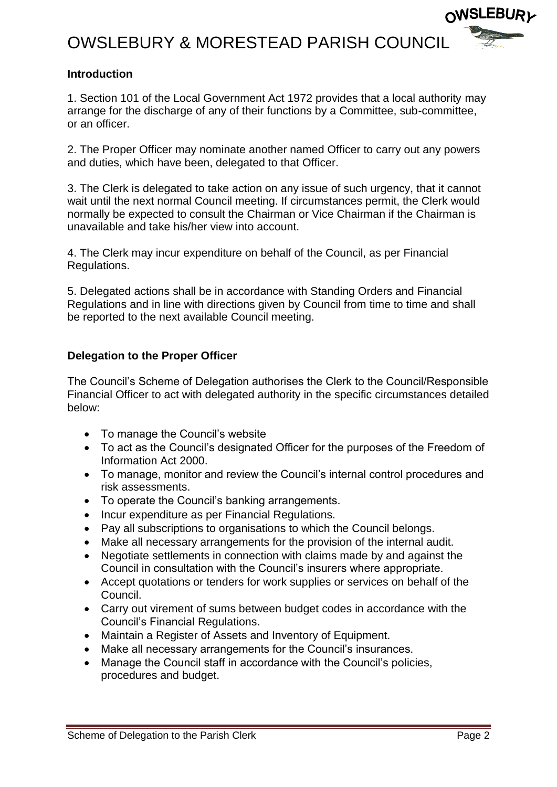## OWSLEBURY & MORESTEAD PARISH COUNCIL



## **Introduction**

1. Section 101 of the Local Government Act 1972 provides that a local authority may arrange for the discharge of any of their functions by a Committee, sub-committee, or an officer.

2. The Proper Officer may nominate another named Officer to carry out any powers and duties, which have been, delegated to that Officer.

3. The Clerk is delegated to take action on any issue of such urgency, that it cannot wait until the next normal Council meeting. If circumstances permit, the Clerk would normally be expected to consult the Chairman or Vice Chairman if the Chairman is unavailable and take his/her view into account.

4. The Clerk may incur expenditure on behalf of the Council, as per Financial Regulations.

5. Delegated actions shall be in accordance with Standing Orders and Financial Regulations and in line with directions given by Council from time to time and shall be reported to the next available Council meeting.

## **Delegation to the Proper Officer**

The Council's Scheme of Delegation authorises the Clerk to the Council/Responsible Financial Officer to act with delegated authority in the specific circumstances detailed below:

- To manage the Council's website
- To act as the Council's designated Officer for the purposes of the Freedom of Information Act 2000.
- To manage, monitor and review the Council's internal control procedures and risk assessments.
- To operate the Council's banking arrangements.
- Incur expenditure as per Financial Regulations.
- Pay all subscriptions to organisations to which the Council belongs.
- Make all necessary arrangements for the provision of the internal audit.
- Negotiate settlements in connection with claims made by and against the Council in consultation with the Council's insurers where appropriate.
- Accept quotations or tenders for work supplies or services on behalf of the Council.
- Carry out virement of sums between budget codes in accordance with the Council's Financial Regulations.
- Maintain a Register of Assets and Inventory of Equipment.
- Make all necessary arrangements for the Council's insurances.
- Manage the Council staff in accordance with the Council's policies, procedures and budget.